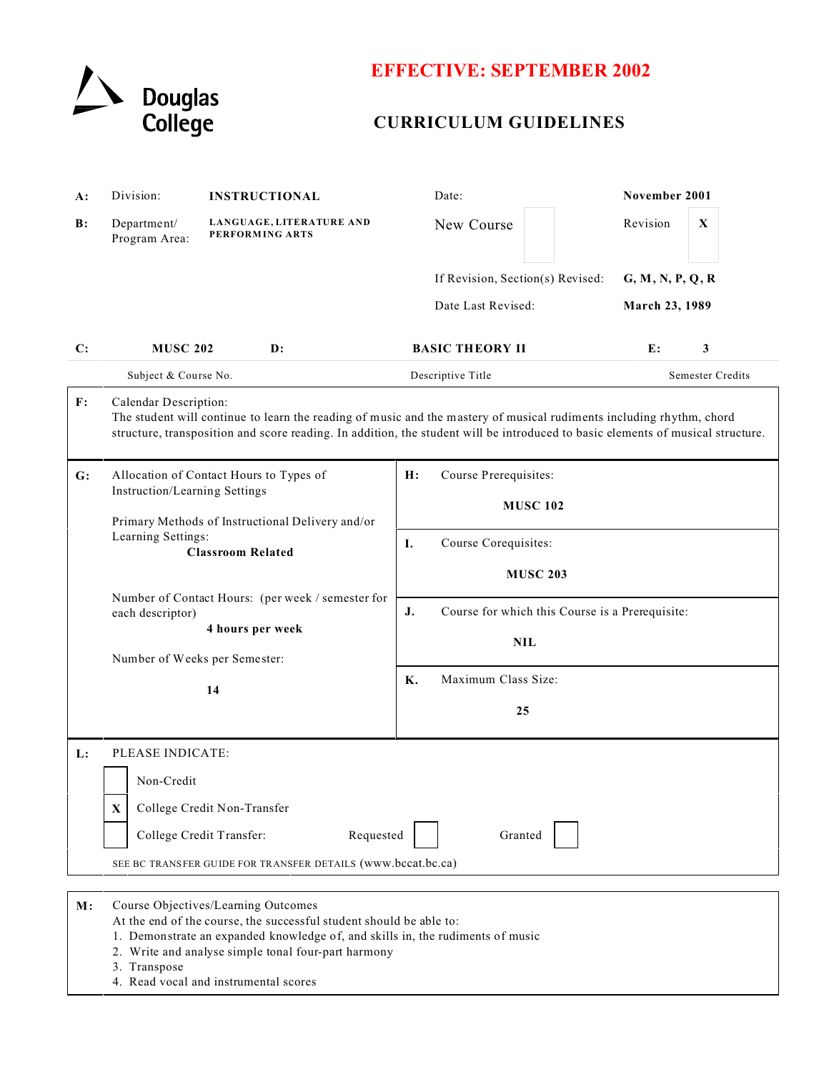

## **EFFECTIVE: SEPTEMBER 2002**

## **CURRICULUM GUIDELINES**

| $A$ : | Division:                                                                                                                                                                                                                                                                                                    | <b>INSTRUCTIONAL</b>                          | Date:                                                  | November 2001                      |
|-------|--------------------------------------------------------------------------------------------------------------------------------------------------------------------------------------------------------------------------------------------------------------------------------------------------------------|-----------------------------------------------|--------------------------------------------------------|------------------------------------|
| B:    | Department/<br>Program Area:                                                                                                                                                                                                                                                                                 | LANGUAGE, LITERATURE AND<br>PERFORMING ARTS   | New Course                                             | Revision<br>$\mathbf X$            |
|       |                                                                                                                                                                                                                                                                                                              |                                               | If Revision, Section(s) Revised:<br>Date Last Revised: | G, M, N, P, Q, R<br>March 23, 1989 |
| C:    | <b>MUSC 202</b><br>Subject & Course No.                                                                                                                                                                                                                                                                      | $\mathbf{D}$ :                                | <b>BASIC THEORY II</b><br>Descriptive Title            | E:<br>3<br>Semester Credits        |
| F:    | Calendar Description:<br>The student will continue to learn the reading of music and the mastery of musical rudiments including rhythm, chord<br>structure, transposition and score reading. In addition, the student will be introduced to basic elements of musical structure.                             |                                               |                                                        |                                    |
| G:    | Allocation of Contact Hours to Types of<br>Instruction/Learning Settings<br>Primary Methods of Instructional Delivery and/or                                                                                                                                                                                 |                                               | H:<br>Course Prerequisites:<br><b>MUSC 102</b>         |                                    |
|       | Learning Settings:<br><b>Classroom Related</b><br>Number of Contact Hours: (per week / semester for<br>each descriptor)<br>4 hours per week<br>Number of Weeks per Semester:<br>14                                                                                                                           | I.<br>Course Corequisites:<br><b>MUSC 203</b> |                                                        |                                    |
|       |                                                                                                                                                                                                                                                                                                              | J.<br><b>NIL</b>                              | Course for which this Course is a Prerequisite:        |                                    |
|       |                                                                                                                                                                                                                                                                                                              | Maximum Class Size:<br>Κ.<br>25               |                                                        |                                    |
| L:    | PLEASE INDICATE:<br>Non-Credit<br>College Credit Non-Transfer<br>X<br>College Credit Transfer:<br>Requested<br>Granted<br>SEE BC TRANSFER GUIDE FOR TRANSFER DETAILS (www.bccat.bc.ca)                                                                                                                       |                                               |                                                        |                                    |
| M:    | Course Objectives/Learning Outcomes<br>At the end of the course, the successful student should be able to:<br>1. Demonstrate an expanded knowledge of, and skills in, the rudiments of music<br>2. Write and analyse simple tonal four-part harmony<br>3. Transpose<br>4. Read vocal and instrumental scores |                                               |                                                        |                                    |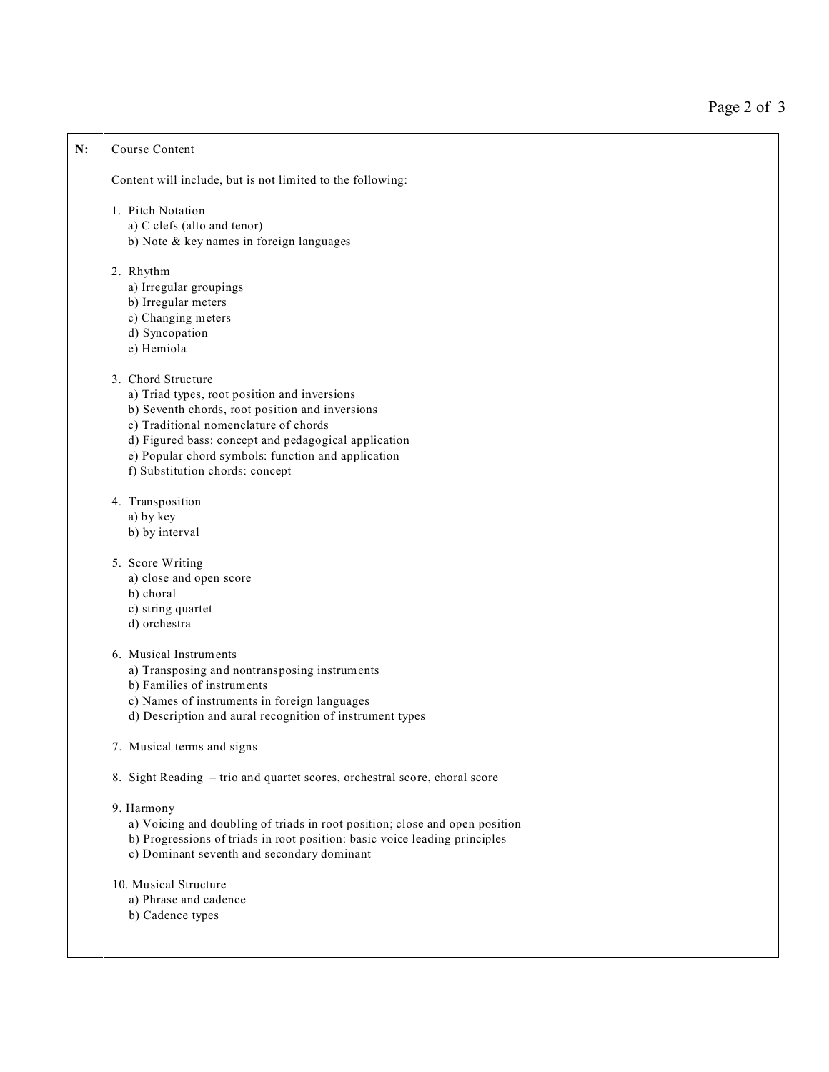## **N:** Course Content

Content will include, but is not limited to the following:

- 1. Pitch Notation
	- a) C clefs (alto and tenor)
	- b) Note & key names in foreign languages
- 2. Rhythm
	- a) Irregular groupings
	- b) Irregular meters
	- c) Changing meters
	- d) Syncopation
	- e) Hemiola

## 3. Chord Structure

- a) Triad types, root position and inversions
- b) Seventh chords, root position and inversions
- c) Traditional nomenclature of chords
- d) Figured bass: concept and pedagogical application
- e) Popular chord symbols: function and application
- f) Substitution chords: concept
- 4. Transposition
	- a) by key
	- b) by interval
- 5. Score Writing
	- a) close and open score
	- b) choral
	- c) string quartet
	- d) orchestra
- 6. Musical Instruments
	- a) Transposing and nontransposing instruments
	- b) Families of instruments
	- c) Names of instruments in foreign languages
	- d) Description and aural recognition of instrument types
- 7. Musical terms and signs
- 8. Sight Reading trio and quartet scores, orchestral score, choral score
- 9. Harmony
	- a) Voicing and doubling of triads in root position; close and open position
	- b) Progressions of triads in root position: basic voice leading principles
	- c) Dominant seventh and secondary dominant
- 10. Musical Structure
	- a) Phrase and cadence
	- b) Cadence types